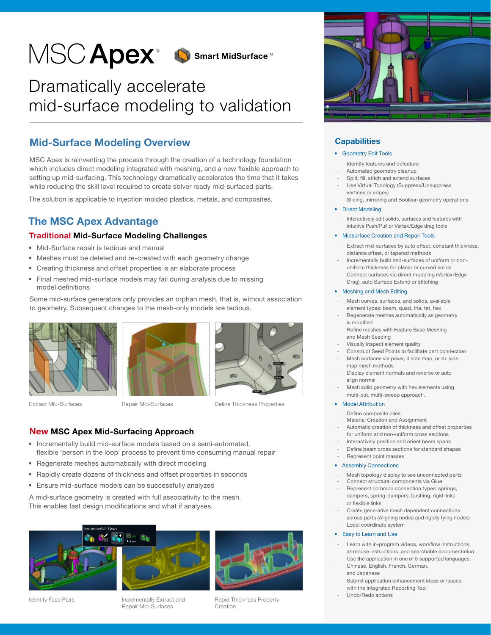

# Dramatically accelerate mid-surface modeling to validation

# Mid-Surface Modeling Overview

MSC Apex is reinventing the process through the creation of a technology foundation which includes direct modeling integrated with meshing, and a new flexible approach to setting up mid-surfacing. This technology dramatically accelerates the time that it takes while reducing the skill level required to create solver ready mid-surfaced parts.

The solution is applicable to injection molded plastics, metals, and composites.

# The MSC Apex Advantage

# Traditional Mid-Surface Modeling Challenges

- Mid-Surface repair is tedious and manual
- Meshes must be deleted and re-created with each geometry change
- Creating thickness and offset properties is an elaborate process
- Final meshed mid-surface models may fail during analysis due to missing model definitions

Some mid-surface generators only provides an orphan mesh, that is, without association to geometry. Subsequent changes to the mesh-only models are tedious.



Extract Mid-Surfaces





Define Thickness Properties

# New MSC Apex Mid-Surfacing Approach

• Incrementally build mid-surface models based on a semi-automated, flexible 'person in the loop' process to prevent time consuming manual repair

Repair Mid-Surfaces

- Regenerate meshes automatically with direct modeling
- Rapidly create dozens of thickness and offset properties in seconds
- Ensure mid-surface models can be successfully analyzed

A mid-surface geometry is created with full associativity to the mesh. This enables fast design modifications and what if analyses.



Identify Face Pairs

Incrementally Extract and Repair Mid-Surfaces



Rapid Thickness Property Creation



## **Capabilities**

- Geometry Edit Tools
- Identify features and defeature
- Automated geometry cleanup
- Split, fill, stitch and extend surfaces
- Use Virtual Topology (Suppress/Unsuppress vertices or edges)
- Slicing, mirroring and Boolean geometry operations
- Direct Modeling
- Interactively edit solids, surfaces and features with intuitive Push/Pull or Vertex/Edge drag tools
- Midsurface Creation and Repair Tools
- Extract mid-surfaces by auto offset, constant thickness, distance offset, or tapered methods
- Incrementally build mid-surfaces of uniform or nonuniform thickness for planar or curved solids
- Connect surfaces via direct modeling (Vertex/Edge Drag), auto Surface Extend or stitching

### • Meshing and Mesh Editing

- Mesh curves, surfaces, and solids, available element types: beam, quad, tria, tet, hex
- Regenerate meshes automatically as geometry is modified
- Refine meshes with Feature Base Meshing and Mesh Seeding
- Visually inspect element quality
- Construct Seed Points to facilitate part connection Mesh surfaces via paver, 4 side map, or 4+ side
- map mesh methods - Display element normals and reverse or auto align normal
- Mesh solid geometry with hex elements using multi-cut, multi-sweep approach.

### • Model Attribution

- Define composite plies
- Material Creation and Assignment
- Automatic creation of thickness and offset properties for uniform and non-uniform cross sections
- Interactively position and orient beam spans
- Define beam cross sections for standard shapes
- Represent point masses

### • Assembly Connections

- Mesh topology display to see unconnected parts
- Connect structural components via Glue
- Represent common connection types: springs, dampers, spring-dampers, bushing, rigid links or flexible links
- Create generative mesh dependent connections across parts (Aligning nodes and rigidly tying nodes) Local coordinate system
- Easy to Learn and Use
- Learn with in-program videos, workflow instructions, at-mouse instructions, and searchable documentation
- Use the application in one of 5 supported languages: Chinese, English, French, German, and Japanese
- Submit application enhancement ideas or issues with the Integrated Reporting Tool
- Undo/Redo actions